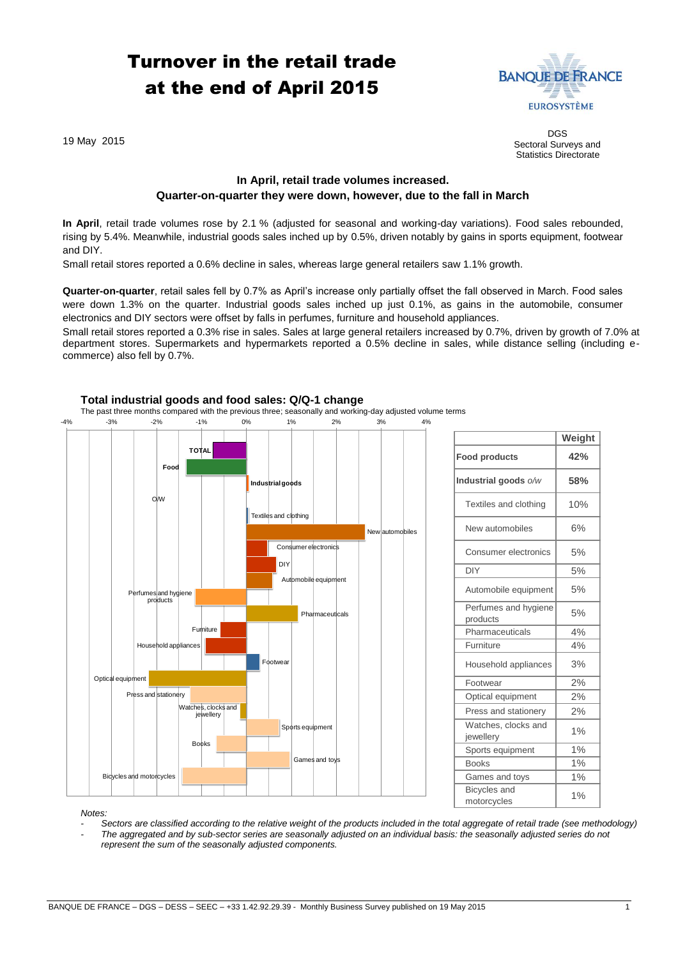# Turnover in the retail trade at the end of April 2015



19 May 2015

DGS Sectoral Surveys and Statistics Directorate

**Weight**

## **In April, retail trade volumes increased. Quarter-on-quarter they were down, however, due to the fall in March**

**In April**, retail trade volumes rose by 2.1 % (adjusted for seasonal and working-day variations). Food sales rebounded, rising by 5.4%. Meanwhile, industrial goods sales inched up by 0.5%, driven notably by gains in sports equipment, footwear and DIY.

Small retail stores reported a 0.6% decline in sales, whereas large general retailers saw 1.1% growth.

**Quarter-on-quarter**, retail sales fell by 0.7% as April's increase only partially offset the fall observed in March. Food sales were down 1.3% on the quarter. Industrial goods sales inched up just 0.1%, as gains in the automobile, consumer electronics and DIY sectors were offset by falls in perfumes, furniture and household appliances.

Small retail stores reported a 0.3% rise in sales. Sales at large general retailers increased by 0.7%, driven by growth of 7.0% at department stores. Supermarkets and hypermarkets reported a 0.5% decline in sales, while distance selling (including ecommerce) also fell by 0.7%.



### **Total industrial goods and food sales: Q/Q-1 change**

The past three months compared with the previous three; seasonally and working-day adjusted volume terms

|                                    | weigin |
|------------------------------------|--------|
| <b>Food products</b>               | 42%    |
| Industrial goods o/w               | 58%    |
| Textiles and clothing              | 10%    |
| New automobiles                    | 6%     |
| Consumer electronics               | 5%     |
| DIY                                | 5%     |
| Automobile equipment               | 5%     |
| Perfumes and hygiene<br>products   | 5%     |
| Pharmaceuticals                    | 4%     |
| Furniture                          | 4%     |
| Household appliances               | 3%     |
| Footwear                           | 2%     |
| Optical equipment                  | 2%     |
| Press and stationery               | 2%     |
| Watches, clocks and<br>jewellery   | 1%     |
| Sports equipment                   | 1%     |
| <b>Books</b>                       | 1%     |
| Games and toys                     | 1%     |
| <b>Bicycles</b> and<br>motorcycles | 1%     |

*Notes:* 

*- Sectors are classified according to the relative weight of the products included in the total aggregate of retail trade (see methodology)*

*- The aggregated and by sub-sector series are seasonally adjusted on an individual basis: the seasonally adjusted series do not represent the sum of the seasonally adjusted components.*